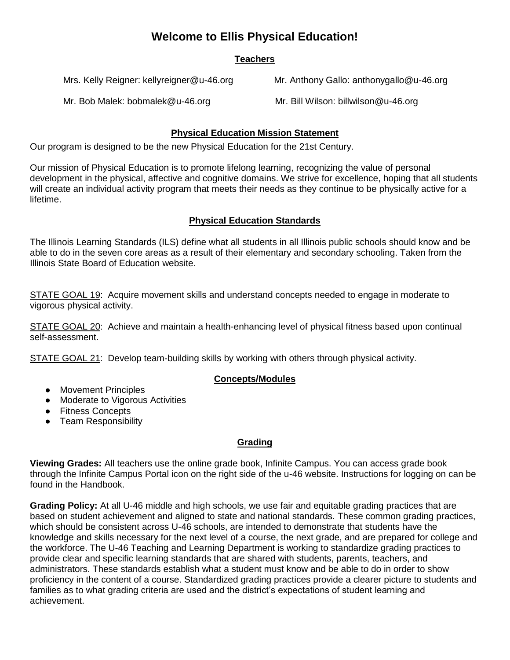# **Welcome to Ellis Physical Education!**

## **Teachers**

Mrs. Kelly Reigner: kellyreigner@u-46.org Mr. Anthony Gallo: anthonygallo@u-46.org

Mr. Bob Malek: bobmalek@u-46.org Mr. Bill Wilson: billwilson@u-46.org

## **Physical Education Mission Statement**

Our program is designed to be the new Physical Education for the 21st Century.

Our mission of Physical Education is to promote lifelong learning, recognizing the value of personal development in the physical, affective and cognitive domains. We strive for excellence, hoping that all students will create an individual activity program that meets their needs as they continue to be physically active for a lifetime.

## **Physical Education Standards**

The Illinois Learning Standards (ILS) define what all students in all Illinois public schools should know and be able to do in the seven core areas as a r[esult of their elementary and secondary schooling. Taken from the](http://www.isbe.net/ils/Default.htm)  Illinois State Board of Education website.

STATE GOAL 19: Acquire movement skills and understand concepts needed to engage in moderate to vigorous physical activity.

STATE GOAL 20: Achieve and maintain a health-enhancing level of physical fitness based upon continual self-assessment.

STATE GOAL 21: Develop team-building skills by working with others through physical activity.

## **Concepts/Modules**

- Movement Principles
- Moderate to Vigorous Activities
- Fitness Concepts
- Team Responsibility

## **Grading**

**Viewing Grades:** All teachers use the online grade book, Infinite Campus. You can access grade book through the Infinite Campus Portal icon on the right side of the u-46 website. Instructions for logging on can be found in the Handbook.

**Grading Policy:** At all U-46 middle and high schools, we use fair and equitable grading practices that are based on student achievement and aligned to state and national standards. These common grading practices, which should be consistent across U-46 schools, are intended to demonstrate that students have the knowledge and skills necessary for the next level of a course, the next grade, and are prepared for college and the workforce. The U-46 Teaching and Learning Department is working to standardize grading practices to provide clear and specific learning standards that are shared with students, parents, teachers, and administrators. These standards establish what a student must know and be able to do in order to show proficiency in the content of a course. Standardized grading practices provide a clearer picture to students and families as to what grading criteria are used and the district's expectations of student learning and achievement.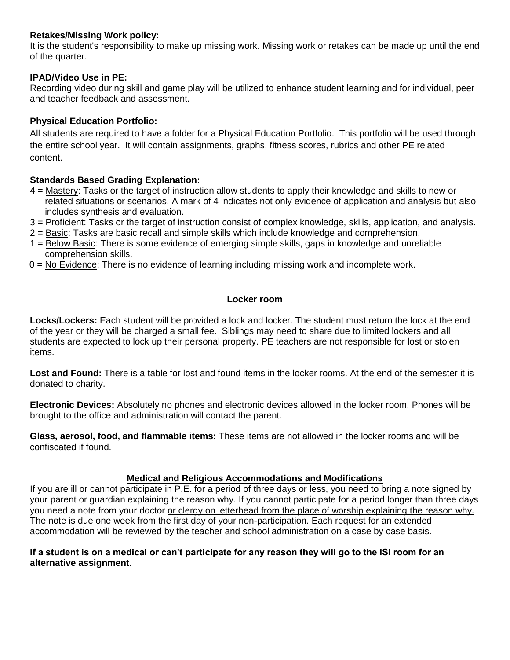#### **Retakes/Missing Work policy:**

It is the student's responsibility to make up missing work. Missing work or retakes can be made up until the end of the quarter.

#### **IPAD/Video Use in PE:**

Recording video during skill and game play will be utilized to enhance student learning and for individual, peer and teacher feedback and assessment.

#### **Physical Education Portfolio:**

All students are required to have a folder for a Physical Education Portfolio. This portfolio will be used through the entire school year. It will contain assignments, graphs, fitness scores, rubrics and other PE related content.

#### **Standards Based Grading Explanation:**

- 4 = Mastery: Tasks or the target of instruction allow students to apply their knowledge and skills to new or related situations or scenarios. A mark of 4 indicates not only evidence of application and analysis but also includes synthesis and evaluation.
- 3 = Proficient: Tasks or the target of instruction consist of complex knowledge, skills, application, and analysis.
- 2 = Basic: Tasks are basic recall and simple skills which include knowledge and comprehension.
- 1 = Below Basic: There is some evidence of emerging simple skills, gaps in knowledge and unreliable comprehension skills.
- 0 = No Evidence: There is no evidence of learning including missing work and incomplete work.

## **Locker room**

**Locks/Lockers:** Each student will be provided a lock and locker. The student must return the lock at the end of the year or they will be charged a small fee. Siblings may need to share due to limited lockers and all students are expected to lock up their personal property. PE teachers are not responsible for lost or stolen items.

**Lost and Found:** There is a table for lost and found items in the locker rooms. At the end of the semester it is donated to charity.

**Electronic Devices:** Absolutely no phones and electronic devices allowed in the locker room. Phones will be brought to the office and administration will contact the parent.

**Glass, aerosol, food, and flammable items:** These items are not allowed in the locker rooms and will be confiscated if found.

#### **Medical and Religious Accommodations and Modifications**

If you are ill or cannot participate in P.E. for a period of three days or less, you need to bring a note signed by your parent or guardian explaining the reason why. If you cannot participate for a period longer than three days you need a note from your doctor or clergy on letterhead from the place of worship explaining the reason why. The note is due one week from the first day of your non-participation. Each request for an extended accommodation will be reviewed by the teacher and school administration on a case by case basis.

#### **If a student is on a medical or can't participate for any reason they will go to the ISI room for an alternative assignment**.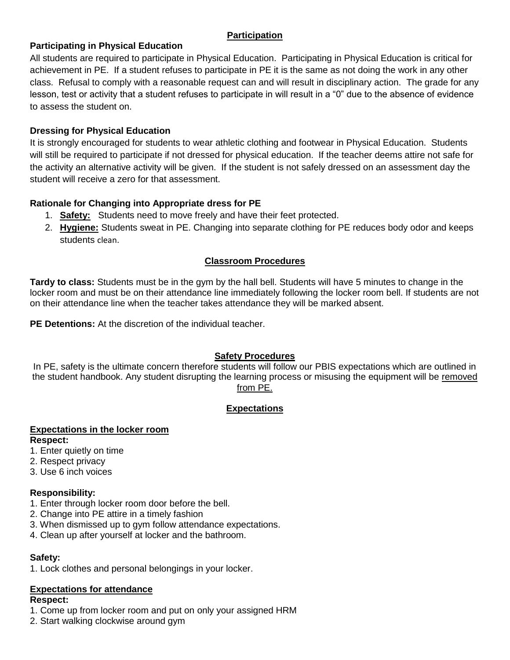#### **Participation**

## **Participating in Physical Education**

All students are required to participate in Physical Education. Participating in Physical Education is critical for achievement in PE. If a student refuses to participate in PE it is the same as not doing the work in any other class. Refusal to comply with a reasonable request can and will result in disciplinary action. The grade for any lesson, test or activity that a student refuses to participate in will result in a "0" due to the absence of evidence to assess the student on.

#### **Dressing for Physical Education**

It is strongly encouraged for students to wear athletic clothing and footwear in Physical Education. Students will still be required to participate if not dressed for physical education. If the teacher deems attire not safe for the activity an alternative activity will be given. If the student is not safely dressed on an assessment day the student will receive a zero for that assessment.

## **Rationale for Changing into Appropriate dress for PE**

- 1. **Safety:** Students need to move freely and have their feet protected.
- 2. **Hygiene:** Students sweat in PE. Changing into separate clothing for PE reduces body odor and keeps students clean.

## **Classroom Procedures**

**Tardy to class:** Students must be in the gym by the hall bell. Students will have 5 minutes to change in the locker room and must be on their attendance line immediately following the locker room bell. If students are not on their attendance line when the teacher takes attendance they will be marked absent.

**PE Detentions:** At the discretion of the individual teacher.

## **Safety Procedures**

In PE, safety is the ultimate concern therefore students will follow our PBIS expectations which are outlined in the student handbook. Any student disrupting the learning process or misusing the equipment will be removed from PE.

## **Expectations**

#### **Expectations in the locker room Respect:**

- 1. Enter quietly on time
- 2. Respect privacy
- 3. Use 6 inch voices

## **Responsibility:**

- 1. Enter through locker room door before the bell.
- 2. Change into PE attire in a timely fashion
- 3. When dismissed up to gym follow attendance expectations.
- 4. Clean up after yourself at locker and the bathroom.

## **Safety:**

1. Lock clothes and personal belongings in your locker.

## **Expectations for attendance**

#### **Respect:**

- 1. Come up from locker room and put on only your assigned HRM
- 2. Start walking clockwise around gym